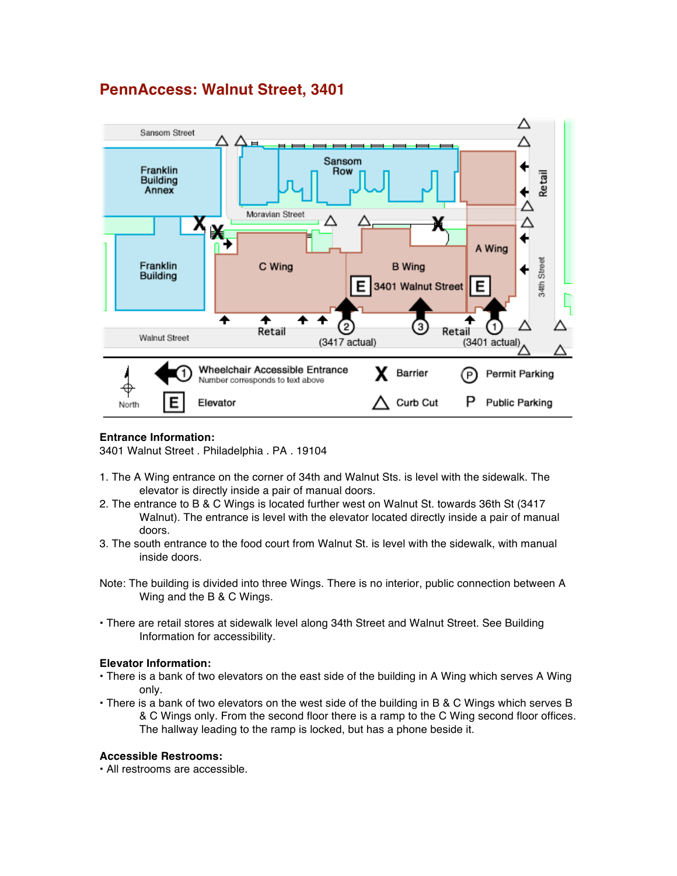# **PennAccess: Walnut Street, 3401**



## **Entrance Information:**

3401 Walnut Street . Philadelphia . PA . 19104

- 1. The A Wing entrance on the corner of 34th and Walnut Sts. is level with the sidewalk. The elevator is directly inside a pair of manual doors.
- 2. The entrance to B & C Wings is located further west on Walnut St. towards 36th St (3417 Walnut). The entrance is level with the elevator located directly inside a pair of manual doors.
- 3. The south entrance to the food court from Walnut St. is level with the sidewalk, with manual inside doors.
- Note: The building is divided into three Wings. There is no interior, public connection between A Wing and the B & C Wings.
- There are retail stores at sidewalk level along 34th Street and Walnut Street. See Building Information for accessibility.

#### **Elevator Information:**

- There is a bank of two elevators on the east side of the building in A Wing which serves A Wing only.
- There is a bank of two elevators on the west side of the building in B & C Wings which serves B & C Wings only. From the second floor there is a ramp to the C Wing second floor offices. The hallway leading to the ramp is locked, but has a phone beside it.

#### **Accessible Restrooms:**

• All restrooms are accessible.